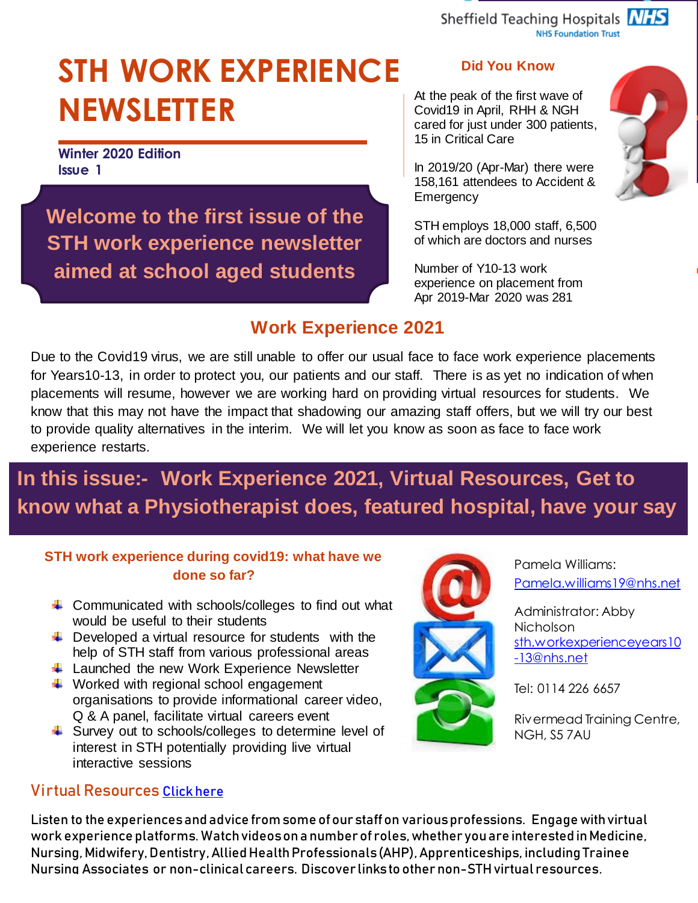Sheffield Teaching Hospitals NHS **NHS Foundation Trust** 

# **STH WORK EXPERIENCE NEWSLETTER**

**Winter 2020 Edition Issue 1**

**Welcome to the first issue of the STH work experience newsletter aimed at school aged students**

#### **Did You Know**

At the peak of the first wave of Covid19 in April, RHH & NGH cared for just under 300 patients, 15 in Critical Care

In 2019/20 (Apr-Mar) there were 158,161 attendees to Accident & **Emergency** 

STH employs 18,000 staff, 6,500 of which are doctors and nurses

Number of Y10-13 work experience on placement from Apr 2019-Mar 2020 was 281

#### **Work Experience 2021**

Due to the Covid19 virus, we are still unable to offer our usual face to face work experience placements for Years10-13, in order to protect you, our patients and our staff. There is as yet no indication of when placements will resume, however we are working hard on providing virtual resources for students. We know that this may not have the impact that shadowing our amazing staff offers, but we will try our best to provide quality alternatives in the interim. We will let you know as soon as face to face work experience restarts.

## **In this issue:- Work Experience 2021, Virtual Resources, Get to know what a Physiotherapist does, featured hospital, have your say**

#### **STH work experience during covid19: what have we done so far?**

- $\ddot{+}$  Communicated with schools/colleges to find out what would be useful to their students
- $\ddot{+}$  Developed a virtual resource for students with the help of STH staff from various professional areas
- $\ddot{+}$  Launched the new Work Experience Newsletter
- $\ddotplus$  Worked with regional school engagement organisations to provide informational career video, Q & A panel, facilitate virtual careers event
- Survey out to schools/colleges to determine level of interest in STH potentially providing live virtual interactive sessions

#### Virtual Resources [Click here](https://www.sth.nhs.uk/work-for-us/work-experience/virtual-resources)

Listen to the experiences and advice from some of our staff on various professions. Engage with virtual work experience platforms. Watch videos on a number of roles, whether you are interested in Medicine, Nursing, Midwifery, Dentistry, Allied Health Professionals (AHP), Apprenticeships, including Trainee Nursing Associates or non-clinical careers. Discover links to other non-STHvirtual resources.



Pamela Williams: [Pamela.williams19@nhs.net](mailto:Pamela.williams19@nhs.net)

Administrator: Abby Nicholson [sth.workexperienceyears10](mailto:sth.workexperienceyears10-13@nhs.net) [-13@nhs.net](mailto:sth.workexperienceyears10-13@nhs.net)

Tel: 0114 226 6657

Rivermead Training Centre, NGH, S5 7AU